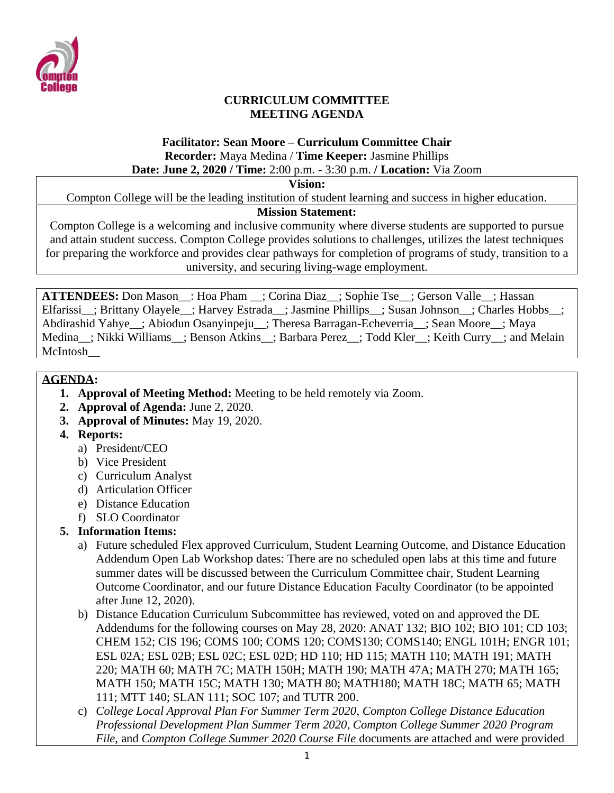

#### **CURRICULUM COMMITTEE MEETING AGENDA**

#### **Facilitator: Sean Moore – Curriculum Committee Chair Recorder:** Maya Medina / **Time Keeper:** Jasmine Phillips **Date: June 2, 2020 / Time:** 2:00 p.m. - 3:30 p.m. **/ Location:** Via Zoom

**Vision:**

Compton College will be the leading institution of student learning and success in higher education.

#### **Mission Statement:**

Compton College is a welcoming and inclusive community where diverse students are supported to pursue and attain student success. Compton College provides solutions to challenges, utilizes the latest techniques for preparing the workforce and provides clear pathways for completion of programs of study, transition to a university, and securing living-wage employment.

**ATTENDEES:** Don Mason\_\_: Hoa Pham \_\_; Corina Diaz\_\_; Sophie Tse\_\_; Gerson Valle\_\_; Hassan Elfarissi ; Brittany Olayele ; Harvey Estrada ; Jasmine Phillips ; Susan Johnson ; Charles Hobbs ; Abdirashid Yahye\_\_; Abiodun Osanyinpeju\_\_; Theresa Barragan-Echeverria\_\_; Sean Moore\_\_; Maya Medina : Nikki Williams : Benson Atkins : Barbara Perez : Todd Kler : Keith Curry : and Melain McIntosh\_\_

#### **AGENDA:**

- **1. Approval of Meeting Method:** Meeting to be held remotely via Zoom.
- **2. Approval of Agenda:** June 2, 2020.
- **3. Approval of Minutes:** May 19, 2020.
- **4. Reports:**
	- a) President/CEO
	- b) Vice President
	- c) Curriculum Analyst
	- d) Articulation Officer
	- e) Distance Education
	- f) SLO Coordinator

# **5. Information Items:**

- a) Future scheduled Flex approved Curriculum, Student Learning Outcome, and Distance Education Addendum Open Lab Workshop dates: There are no scheduled open labs at this time and future summer dates will be discussed between the Curriculum Committee chair, Student Learning Outcome Coordinator, and our future Distance Education Faculty Coordinator (to be appointed after June 12, 2020).
- b) Distance Education Curriculum Subcommittee has reviewed, voted on and approved the DE Addendums for the following courses on May 28, 2020: ANAT 132; BIO 102; BIO 101; CD 103; CHEM 152; CIS 196; COMS 100; COMS 120; COMS130; COMS140; ENGL 101H; ENGR 101; ESL 02A; ESL 02B; ESL 02C; ESL 02D; HD 110; HD 115; MATH 110; MATH 191; MATH 220; MATH 60; MATH 7C; MATH 150H; MATH 190; MATH 47A; MATH 270; MATH 165; MATH 150; MATH 15C; MATH 130; MATH 80; MATH180; MATH 18C; MATH 65; MATH 111; MTT 140; SLAN 111; SOC 107; and TUTR 200.
- c) *College Local Approval Plan For Summer Term 2020*, *Compton College Distance Education Professional Development Plan Summer Term 2020*, *Compton College Summer 2020 Program File,* and *Compton College Summer 2020 Course File* documents are attached and were provided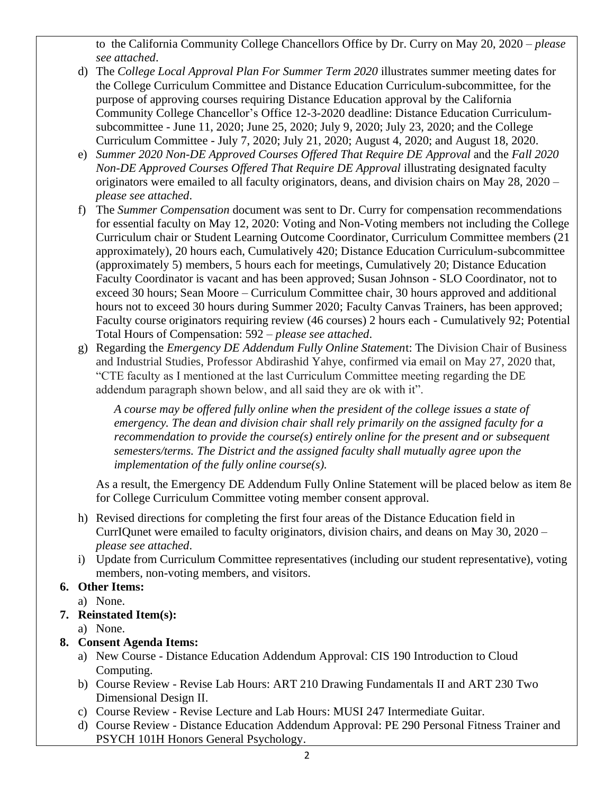to the California Community College Chancellors Office by Dr. Curry on May 20, 2020 – *please see attached*.

- d) The *College Local Approval Plan For Summer Term 2020* illustrates summer meeting dates for the College Curriculum Committee and Distance Education Curriculum-subcommittee, for the purpose of approving courses requiring Distance Education approval by the California Community College Chancellor's Office 12-3-2020 deadline: Distance Education Curriculumsubcommittee - June 11, 2020; June 25, 2020; July 9, 2020; July 23, 2020; and the College Curriculum Committee - July 7, 2020; July 21, 2020; August 4, 2020; and August 18, 2020.
- e) *Summer 2020 Non-DE Approved Courses Offered That Require DE Approval* and the *Fall 2020 Non-DE Approved Courses Offered That Require DE Approval* illustrating designated faculty originators were emailed to all faculty originators, deans, and division chairs on May 28, 2020 – *please see attached*.
- f) The *Summer Compensation* document was sent to Dr. Curry for compensation recommendations for essential faculty on May 12, 2020: Voting and Non-Voting members not including the College Curriculum chair or Student Learning Outcome Coordinator, Curriculum Committee members (21 approximately), 20 hours each, Cumulatively 420; Distance Education Curriculum-subcommittee (approximately 5) members, 5 hours each for meetings, Cumulatively 20; Distance Education Faculty Coordinator is vacant and has been approved; Susan Johnson - SLO Coordinator, not to exceed 30 hours; Sean Moore – Curriculum Committee chair, 30 hours approved and additional hours not to exceed 30 hours during Summer 2020; Faculty Canvas Trainers, has been approved; Faculty course originators requiring review (46 courses) 2 hours each - Cumulatively 92; Potential Total Hours of Compensation: 592 – *please see attached*.
- g) Regarding the *Emergency DE Addendum Fully Online Statemen*t: The Division Chair of Business and Industrial Studies, Professor Abdirashid Yahye, confirmed via email on May 27, 2020 that, "CTE faculty as I mentioned at the last Curriculum Committee meeting regarding the DE addendum paragraph shown below, and all said they are ok with it".

*A course may be offered fully online when the president of the college issues a state of emergency. The dean and division chair shall rely primarily on the assigned faculty for a recommendation to provide the course(s) entirely online for the present and or subsequent semesters/terms. The District and the assigned faculty shall mutually agree upon the implementation of the fully online course(s).*

As a result, the Emergency DE Addendum Fully Online Statement will be placed below as item 8e for College Curriculum Committee voting member consent approval.

- h) Revised directions for completing the first four areas of the Distance Education field in CurrIQunet were emailed to faculty originators, division chairs, and deans on May 30, 2020 – *please see attached*.
- i) Update from Curriculum Committee representatives (including our student representative), voting members, non-voting members, and visitors.

# **6. Other Items:**

a) None.

# **7. Reinstated Item(s):**

a) None.

# **8. Consent Agenda Items:**

- a) New Course Distance Education Addendum Approval: CIS 190 Introduction to Cloud Computing.
- b) Course Review Revise Lab Hours: ART 210 Drawing Fundamentals II and ART 230 Two Dimensional Design II.
- c) Course Review Revise Lecture and Lab Hours: MUSI 247 Intermediate Guitar.
- d) Course Review Distance Education Addendum Approval: PE 290 Personal Fitness Trainer and PSYCH 101H Honors General Psychology.